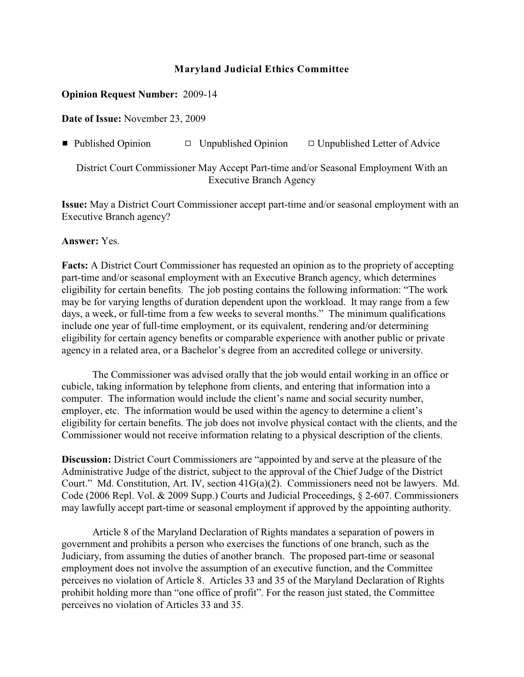## **Maryland Judicial Ethics Committee**

## **Opinion Request Number:** 2009-14

**Date of Issue:** November 23, 2009

**•** Published Opinion  $\Box$  Unpublished Opinion  $\Box$  Unpublished Letter of Advice

District Court Commissioner May Accept Part-time and/or Seasonal Employment With an Executive Branch Agency

**Issue:** May a District Court Commissioner accept part-time and/or seasonal employment with an Executive Branch agency?

## **Answer:** Yes.

**Facts:** A District Court Commissioner has requested an opinion as to the propriety of accepting part-time and/or seasonal employment with an Executive Branch agency, which determines eligibility for certain benefits. The job posting contains the following information: "The work may be for varying lengths of duration dependent upon the workload. It may range from a few days, a week, or full-time from a few weeks to several months." The minimum qualifications include one year of full-time employment, or its equivalent, rendering and/or determining eligibility for certain agency benefits or comparable experience with another public or private agency in a related area, or a Bachelor's degree from an accredited college or university.

The Commissioner was advised orally that the job would entail working in an office or cubicle, taking information by telephone from clients, and entering that information into a computer. The information would include the client's name and social security number, employer, etc. The information would be used within the agency to determine a client's eligibility for certain benefits. The job does not involve physical contact with the clients, and the Commissioner would not receive information relating to a physical description of the clients.

**Discussion:** District Court Commissioners are "appointed by and serve at the pleasure of the Administrative Judge of the district, subject to the approval of the Chief Judge of the District Court." Md. Constitution, Art. IV, section 41G(a)(2). Commissioners need not be lawyers. Md. Code (2006 Repl. Vol. & 2009 Supp.) Courts and Judicial Proceedings, § 2-607. Commissioners may lawfully accept part-time or seasonal employment if approved by the appointing authority.

Article 8 of the Maryland Declaration of Rights mandates a separation of powers in government and prohibits a person who exercises the functions of one branch, such as the Judiciary, from assuming the duties of another branch. The proposed part-time or seasonal employment does not involve the assumption of an executive function, and the Committee perceives no violation of Article 8. Articles 33 and 35 of the Maryland Declaration of Rights prohibit holding more than "one office of profit". For the reason just stated, the Committee perceives no violation of Articles 33 and 35.